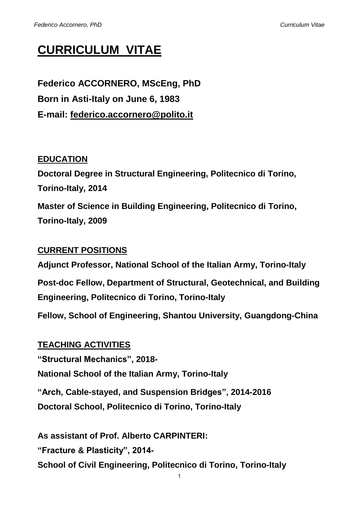# **CURRICULUM VITAE**

**Federico ACCORNERO, MScEng, PhD Born in Asti-Italy on June 6, 1983 E-mail: federico.accornero@polito.it**

## **EDUCATION**

**Doctoral Degree in Structural Engineering, Politecnico di Torino, Torino-Italy, 2014 Master of Science in Building Engineering, Politecnico di Torino, Torino-Italy, 2009**

## **CURRENT POSITIONS**

**Adjunct Professor, National School of the Italian Army, Torino-Italy Post-doc Fellow, Department of Structural, Geotechnical, and Building Engineering, Politecnico di Torino, Torino-Italy**

**Fellow, School of Engineering, Shantou University, Guangdong-China**

**TEACHING ACTIVITIES "Structural Mechanics", 2018- National School of the Italian Army, Torino-Italy "Arch, Cable-stayed, and Suspension Bridges", 2014-2016 Doctoral School, Politecnico di Torino, Torino-Italy**

**As assistant of Prof. Alberto CARPINTERI: "Fracture & Plasticity", 2014- School of Civil Engineering, Politecnico di Torino, Torino-Italy**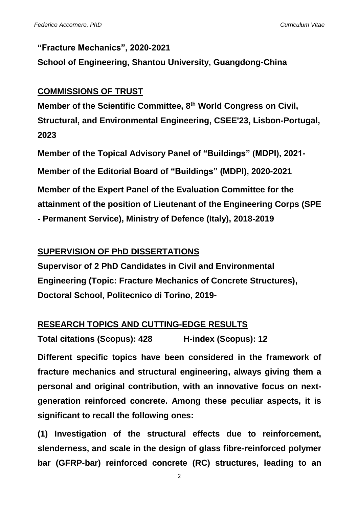### **"Fracture Mechanics", 2020-2021**

**School of Engineering, Shantou University, Guangdong-China**

## **COMMISSIONS OF TRUST**

**Member of the Scientific Committee, 8th World Congress on Civil, Structural, and Environmental Engineering, CSEE'23, Lisbon-Portugal, 2023**

**Member of the Topical Advisory Panel of "Buildings" (MDPI), 2021- Member of the Editorial Board of "Buildings" (MDPI), 2020-2021 Member of the Expert Panel of the Evaluation Committee for the attainment of the position of Lieutenant of the Engineering Corps (SPE - Permanent Service), Ministry of Defence (Italy), 2018-2019**

## **SUPERVISION OF PhD DISSERTATIONS**

**Supervisor of 2 PhD Candidates in Civil and Environmental Engineering (Topic: Fracture Mechanics of Concrete Structures), Doctoral School, Politecnico di Torino, 2019-**

## **RESEARCH TOPICS AND CUTTING-EDGE RESULTS**

**Total citations (Scopus): 428 H-index (Scopus): 12**

**Different specific topics have been considered in the framework of fracture mechanics and structural engineering, always giving them a personal and original contribution, with an innovative focus on nextgeneration reinforced concrete. Among these peculiar aspects, it is significant to recall the following ones:**

**(1) Investigation of the structural effects due to reinforcement, slenderness, and scale in the design of glass fibre-reinforced polymer bar (GFRP-bar) reinforced concrete (RC) structures, leading to an**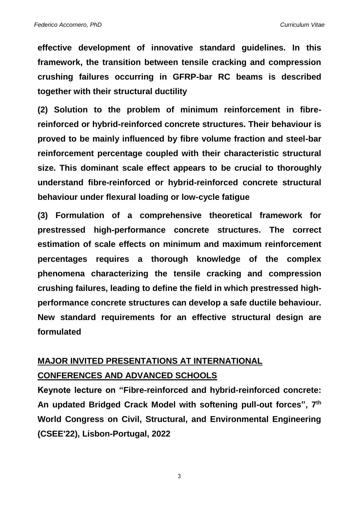**effective development of innovative standard guidelines. In this framework, the transition between tensile cracking and compression crushing failures occurring in GFRP-bar RC beams is described together with their structural ductility**

**(2) Solution to the problem of minimum reinforcement in fibrereinforced or hybrid-reinforced concrete structures. Their behaviour is proved to be mainly influenced by fibre volume fraction and steel-bar reinforcement percentage coupled with their characteristic structural size. This dominant scale effect appears to be crucial to thoroughly understand fibre-reinforced or hybrid-reinforced concrete structural behaviour under flexural loading or low-cycle fatigue**

**(3) Formulation of a comprehensive theoretical framework for prestressed high-performance concrete structures. The correct estimation of scale effects on minimum and maximum reinforcement percentages requires a thorough knowledge of the complex phenomena characterizing the tensile cracking and compression crushing failures, leading to define the field in which prestressed highperformance concrete structures can develop a safe ductile behaviour. New standard requirements for an effective structural design are formulated**

## **MAJOR INVITED PRESENTATIONS AT INTERNATIONAL CONFERENCES AND ADVANCED SCHOOLS**

**Keynote lecture on "Fibre-reinforced and hybrid-reinforced concrete: An updated Bridged Crack Model with softening pull-out forces", 7 th World Congress on Civil, Structural, and Environmental Engineering (CSEE'22), Lisbon-Portugal, 2022**

3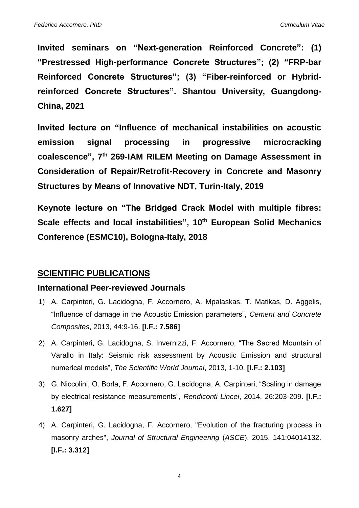**Invited seminars on "Next-generation Reinforced Concrete": (1) "Prestressed High-performance Concrete Structures"; (2) "FRP-bar Reinforced Concrete Structures"; (3) "Fiber-reinforced or Hybridreinforced Concrete Structures". Shantou University, Guangdong-China, 2021**

**Invited lecture on "Influence of mechanical instabilities on acoustic emission signal processing in progressive microcracking coalescence", 7 th 269-IAM RILEM Meeting on Damage Assessment in Consideration of Repair/Retrofit-Recovery in Concrete and Masonry Structures by Means of Innovative NDT, Turin-Italy, 2019**

**Keynote lecture on "The Bridged Crack Model with multiple fibres: Scale effects and local instabilities", 10th European Solid Mechanics Conference (ESMC10), Bologna-Italy, 2018**

## **SCIENTIFIC PUBLICATIONS**

### **International Peer-reviewed Journals**

- 1) A. Carpinteri, G. Lacidogna, F. Accornero, A. Mpalaskas, T. Matikas, D. Aggelis, "Influence of damage in the Acoustic Emission parameters", *Cement and Concrete Composites*, 2013, 44:9-16. **[I.F.: 7.586]**
- 2) A. Carpinteri, G. Lacidogna, S. Invernizzi, F. Accornero, "The Sacred Mountain of Varallo in Italy: Seismic risk assessment by Acoustic Emission and structural numerical models", *The Scientific World Journal*, 2013, 1-10. **[I.F.: 2.103]**
- 3) G. Niccolini, O. Borla, F. Accornero, G. Lacidogna, A. Carpinteri, "Scaling in damage by electrical resistance measurements", *Rendiconti Lincei*, 2014, 26:203-209. **[I.F.: 1.627]**
- 4) A. Carpinteri, G. Lacidogna, F. Accornero, "Evolution of the fracturing process in masonry arches", *Journal of Structural Engineering* (*ASCE*), 2015, 141:04014132. **[I.F.: 3.312]**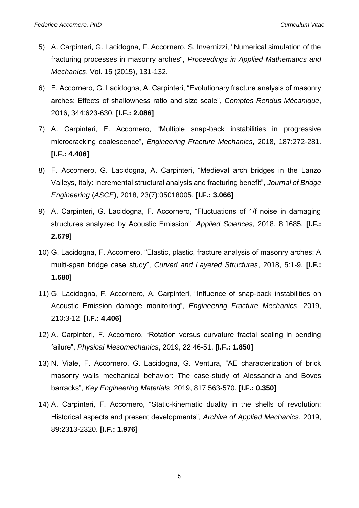- 5) A. Carpinteri, G. Lacidogna, F. Accornero, S. Invernizzi, "Numerical simulation of the fracturing processes in masonry arches", *Proceedings in Applied Mathematics and Mechanics*, Vol. 15 (2015), 131-132.
- 6) F. Accornero, G. Lacidogna, A. Carpinteri, "Evolutionary fracture analysis of masonry arches: Effects of shallowness ratio and size scale", *Comptes Rendus Mécanique*, 2016, 344:623-630. **[I.F.: 2.086]**
- 7) A. Carpinteri, F. Accornero, "Multiple snap-back instabilities in progressive microcracking coalescence", *Engineering Fracture Mechanics*, 2018, 187:272-281. **[I.F.: 4.406]**
- 8) F. Accornero, G. Lacidogna, A. Carpinteri, "Medieval arch bridges in the Lanzo Valleys, Italy: Incremental structural analysis and fracturing benefit", *Journal of Bridge Engineering* (*ASCE*), 2018, 23(7):05018005. **[I.F.: 3.066]**
- 9) A. Carpinteri, G. Lacidogna, F. Accornero, "Fluctuations of 1/f noise in damaging structures analyzed by Acoustic Emission", *Applied Sciences*, 2018, 8:1685. **[I.F.: 2.679]**
- 10) G. Lacidogna, F. Accornero, "Elastic, plastic, fracture analysis of masonry arches: A multi-span bridge case study", *Curved and Layered Structures*, 2018, 5:1-9. **[I.F.: 1.680]**
- 11) G. Lacidogna, F. Accornero, A. Carpinteri, "Influence of snap-back instabilities on Acoustic Emission damage monitoring", *Engineering Fracture Mechanics*, 2019, 210:3-12. **[I.F.: 4.406]**
- 12) A. Carpinteri, F. Accornero, "Rotation versus curvature fractal scaling in bending failure", *Physical Mesomechanics*, 2019, 22:46-51. **[I.F.: 1.850]**
- 13) N. Viale, F. Accornero, G. Lacidogna, G. Ventura, "AE characterization of brick masonry walls mechanical behavior: The case-study of Alessandria and Boves barracks", *Key Engineering Materials*, 2019, 817:563-570. **[I.F.: 0.350]**
- 14) A. Carpinteri, F. Accornero, "Static-kinematic duality in the shells of revolution: Historical aspects and present developments", *Archive of Applied Mechanics*, 2019, 89:2313-2320. **[I.F.: 1.976]**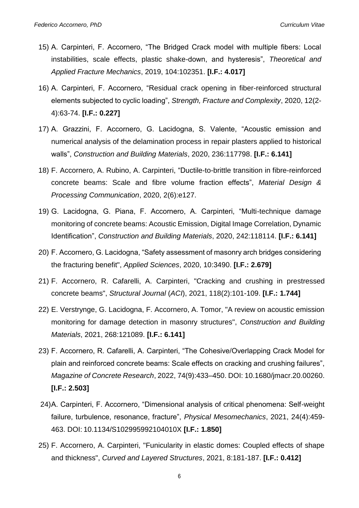- 15) A. Carpinteri, F. Accornero, "The Bridged Crack model with multiple fibers: Local instabilities, scale effects, plastic shake-down, and hysteresis", *Theoretical and Applied Fracture Mechanics*, 2019, 104:102351. **[I.F.: 4.017]**
- 16) A. Carpinteri, F. Accornero, "Residual crack opening in fiber-reinforced structural elements subjected to cyclic loading", *Strength, Fracture and Complexity*, 2020, 12(2- 4):63-74. **[I.F.: 0.227]**
- 17) A. Grazzini, F. Accornero, G. Lacidogna, S. Valente, "Acoustic emission and numerical analysis of the delamination process in repair plasters applied to historical walls", *Construction and Building Materials*, 2020, 236:117798. **[I.F.: 6.141]**
- 18) F. Accornero, A. Rubino, A. Carpinteri, "Ductile-to-brittle transition in fibre-reinforced concrete beams: Scale and fibre volume fraction effects", *Material Design & Processing Communication*, 2020, 2(6):e127.
- 19) G. Lacidogna, G. Piana, F. Accornero, A. Carpinteri, "Multi-technique damage monitoring of concrete beams: Acoustic Emission, Digital Image Correlation, Dynamic Identification", *Construction and Building Materials*, 2020, 242:118114. **[I.F.: 6.141]**
- 20) F. Accornero, G. Lacidogna, "Safety assessment of masonry arch bridges considering the fracturing benefit", *Applied Sciences*, 2020, 10:3490. **[I.F.: 2.679]**
- 21) F. Accornero, R. Cafarelli, A. Carpinteri, "Cracking and crushing in prestressed concrete beams", *Structural Journal* (*ACI*), 2021, 118(2):101-109. **[I.F.: 1.744]**
- 22) E. Verstrynge, G. Lacidogna, F. Accornero, A. Tomor, "A review on acoustic emission monitoring for damage detection in masonry structures", *Construction and Building Materials*, 2021, 268:121089. **[I.F.: 6.141]**
- 23) F. Accornero, R. Cafarelli, A. Carpinteri, "The Cohesive/Overlapping Crack Model for plain and reinforced concrete beams: Scale effects on cracking and crushing failures", *Magazine of Concrete Research*, 2022, 74(9):433–450. DOI: 10.1680/jmacr.20.00260. **[I.F.: 2.503]**
- 24)A. Carpinteri, F. Accornero, "Dimensional analysis of critical phenomena: Self-weight failure, turbulence, resonance, fracture", *Physical Mesomechanics*, 2021, 24(4):459- 463. DOI: 10.1134/S102995992104010X **[I.F.: 1.850]**
- 25) F. Accornero, A. Carpinteri, "Funicularity in elastic domes: Coupled effects of shape and thickness", *Curved and Layered Structures*, 2021, 8:181-187. **[I.F.: 0.412]**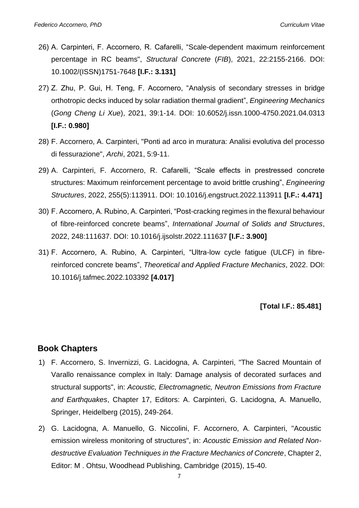- 26) A. Carpinteri, F. Accornero, R. Cafarelli, "Scale-dependent maximum reinforcement percentage in RC beams", *Structural Concrete* (*FIB*), 2021, 22:2155-2166. DOI: 10.1002/(ISSN)1751-7648 **[I.F.: 3.131]**
- 27) Z. Zhu, P. Gui, H. Teng, F. Accornero, "Analysis of secondary stresses in bridge orthotropic decks induced by solar radiation thermal gradient", *Engineering Mechanics* (*Gong Cheng Li Xue*), 2021, 39:1-14. DOI: 10.6052/j.issn.1000-4750.2021.04.0313 **[I.F.: 0.980]**
- 28) F. Accornero, A. Carpinteri, "Ponti ad arco in muratura: Analisi evolutiva del processo di fessurazione", *Archi*, 2021, 5:9-11.
- 29) A. Carpinteri, F. Accornero, R. Cafarelli, "Scale effects in prestressed concrete structures: Maximum reinforcement percentage to avoid brittle crushing", *Engineering Structures*, 2022, 255(5):113911. DOI: 10.1016/j.engstruct.2022.113911 **[I.F.: 4.471]**
- 30) F. Accornero, A. Rubino, A. Carpinteri, "Post-cracking regimes in the flexural behaviour of fibre-reinforced concrete beams", *International Journal of Solids and Structures*, 2022, 248:111637. DOI: 10.1016/j.ijsolstr.2022.111637 **[I.F.: 3.900]**
- 31) F. Accornero, A. Rubino, A. Carpinteri, "Ultra-low cycle fatigue (ULCF) in fibrereinforced concrete beams", *Theoretical and Applied Fracture Mechanics*, 2022. DOI: 10.1016/j.tafmec.2022.103392 **[4.017]**

### **[Total I.F.: 85.481]**

### **Book Chapters**

- 1) F. Accornero, S. Invernizzi, G. Lacidogna, A. Carpinteri, "The Sacred Mountain of Varallo renaissance complex in Italy: Damage analysis of decorated surfaces and structural supports", in: *Acoustic, Electromagnetic, Neutron Emissions from Fracture and Earthquakes*, Chapter 17, Editors: A. Carpinteri, G. Lacidogna, A. Manuello, Springer, Heidelberg (2015), 249-264.
- 2) G. Lacidogna, A. Manuello, G. Niccolini, F. Accornero, A. Carpinteri, "Acoustic emission wireless monitoring of structures", in: *Acoustic Emission and Related Nondestructive Evaluation Techniques in the Fracture Mechanics of Concrete*, Chapter 2, Editor: M . Ohtsu, Woodhead Publishing, Cambridge (2015), 15-40.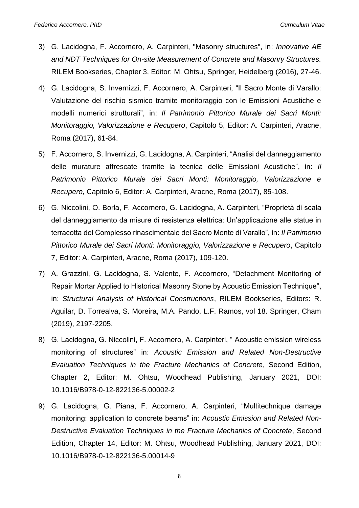- 3) G. Lacidogna, F. Accornero, A. Carpinteri, "Masonry structures", in: *Innovative AE and NDT Techniques for On-site Measurement of Concrete and Masonry Structures.* RILEM Bookseries, Chapter 3, Editor: M. Ohtsu, Springer, Heidelberg (2016), 27-46.
- 4) G. Lacidogna, S. Invernizzi, F. Accornero, A. Carpinteri, "Il Sacro Monte di Varallo: Valutazione del rischio sismico tramite monitoraggio con le Emissioni Acustiche e modelli numerici strutturali", in: *Il Patrimonio Pittorico Murale dei Sacri Monti: Monitoraggio, Valorizzazione e Recupero*, Capitolo 5, Editor: A. Carpinteri, Aracne, Roma (2017), 61-84.
- 5) F. Accornero, S. Invernizzi, G. Lacidogna, A. Carpinteri, "Analisi del danneggiamento delle murature affrescate tramite la tecnica delle Emissioni Acustiche", in: *Il Patrimonio Pittorico Murale dei Sacri Monti: Monitoraggio, Valorizzazione e Recupero*, Capitolo 6, Editor: A. Carpinteri, Aracne, Roma (2017), 85-108.
- 6) G. Niccolini, O. Borla, F. Accornero, G. Lacidogna, A. Carpinteri, "Proprietà di scala del danneggiamento da misure di resistenza elettrica: Un'applicazione alle statue in terracotta del Complesso rinascimentale del Sacro Monte di Varallo", in: *Il Patrimonio Pittorico Murale dei Sacri Monti: Monitoraggio, Valorizzazione e Recupero*, Capitolo 7, Editor: A. Carpinteri, Aracne, Roma (2017), 109-120.
- 7) A. Grazzini, G. Lacidogna, S. Valente, F. Accornero, "Detachment Monitoring of Repair Mortar Applied to Historical Masonry Stone by Acoustic Emission Technique", in: *Structural Analysis of Historical Constructions*, RILEM Bookseries, Editors: R. Aguilar, D. Torrealva, S. Moreira, M.A. Pando, L.F. Ramos, vol 18. Springer, Cham (2019), 2197-2205.
- 8) G. Lacidogna, G. Niccolini, F. Accornero, A. Carpinteri, " Acoustic emission wireless monitoring of structures" in: *Acoustic Emission and Related Non-Destructive Evaluation Techniques in the Fracture Mechanics of Concrete*, Second Edition, Chapter 2, Editor: M. Ohtsu, Woodhead Publishing, January 2021, DOI: 10.1016/B978-0-12-822136-5.00002-2
- 9) G. Lacidogna, G. Piana, F. Accornero, A. Carpinteri, "Multitechnique damage monitoring: application to concrete beams" in: *Acoustic Emission and Related Non-Destructive Evaluation Techniques in the Fracture Mechanics of Concrete*, Second Edition, Chapter 14, Editor: M. Ohtsu, Woodhead Publishing, January 2021, DOI: 10.1016/B978-0-12-822136-5.00014-9

8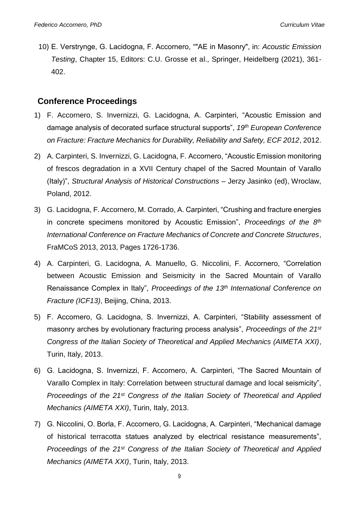10) E. Verstrynge, G. Lacidogna, F. Accornero, ""AE in Masonry", in: *Acoustic Emission Testing*, Chapter 15, Editors: C.U. Grosse et al., Springer, Heidelberg (2021), 361- 402.

### **Conference Proceedings**

- 1) F. Accornero, S. Invernizzi, G. Lacidogna, A. Carpinteri, "Acoustic Emission and damage analysis of decorated surface structural supports", *19th European Conference on Fracture: Fracture Mechanics for Durability, Reliability and Safety, ECF 2012*, 2012.
- 2) A. Carpinteri, S. Invernizzi, G. Lacidogna, F. Accornero, "Acoustic Emission monitoring of frescos degradation in a XVII Century chapel of the Sacred Mountain of Varallo (Italy)", *Structural Analysis of Historical Constructions* – Jerzy Jasinko (ed), Wroclaw, Poland, 2012.
- 3) G. Lacidogna, F. Accornero, M. Corrado, A. Carpinteri, "Crushing and fracture energies in concrete specimens monitored by Acoustic Emission", *Proceedings of the 8th International Conference on Fracture Mechanics of Concrete and Concrete Structures*, FraMCoS 2013, 2013, Pages 1726-1736.
- 4) A. Carpinteri, G. Lacidogna, A. Manuello, G. Niccolini, F. Accornero, "Correlation between Acoustic Emission and Seismicity in the Sacred Mountain of Varallo Renaissance Complex in Italy", *Proceedings of the 13th International Conference on Fracture (ICF13)*, Beijing, China, 2013.
- 5) F. Accornero, G. Lacidogna, S. Invernizzi, A. Carpinteri, "Stability assessment of masonry arches by evolutionary fracturing process analysis", *Proceedings of the 21st Congress of the Italian Society of Theoretical and Applied Mechanics (AIMETA XXI)*, Turin, Italy, 2013.
- 6) G. Lacidogna, S. Invernizzi, F. Accornero, A. Carpinteri, "The Sacred Mountain of Varallo Complex in Italy: Correlation between structural damage and local seismicity", *Proceedings of the 21st Congress of the Italian Society of Theoretical and Applied Mechanics (AIMETA XXI)*, Turin, Italy, 2013.
- 7) G. Niccolini, O. Borla, F. Accornero, G. Lacidogna, A. Carpinteri, "Mechanical damage of historical terracotta statues analyzed by electrical resistance measurements", *Proceedings of the 21st Congress of the Italian Society of Theoretical and Applied Mechanics (AIMETA XXI)*, Turin, Italy, 2013.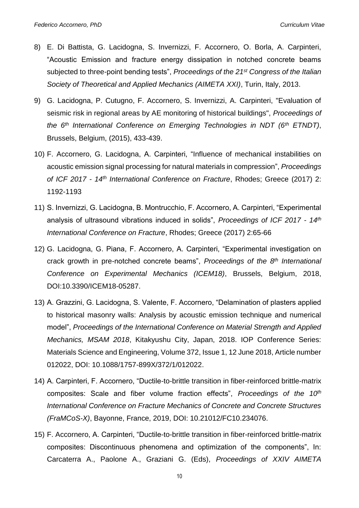- 8) E. Di Battista, G. Lacidogna, S. Invernizzi, F. Accornero, O. Borla, A. Carpinteri, "Acoustic Emission and fracture energy dissipation in notched concrete beams subjected to three-point bending tests", *Proceedings of the 21st Congress of the Italian Society of Theoretical and Applied Mechanics (AIMETA XXI)*, Turin, Italy, 2013.
- 9) G. Lacidogna, P. Cutugno, F. Accornero, S. Invernizzi, A. Carpinteri, "Evaluation of seismic risk in regional areas by AE monitoring of historical buildings", *Proceedings of the 6th International Conference on Emerging Technologies in NDT (6th ETNDT)*, Brussels, Belgium, (2015), 433-439.
- 10) F. Accornero, G. Lacidogna, A. Carpinteri, "Influence of mechanical instabilities on acoustic emission signal processing for natural materials in compression", *Proceedings of ICF 2017 - 14th International Conference on Fracture*, Rhodes; Greece (2017) 2: 1192-1193
- 11) S. Invernizzi, G. Lacidogna, B. Montrucchio, F. Accornero, A. Carpinteri, "Experimental analysis of ultrasound vibrations induced in solids", *Proceedings of ICF 2017 - 14th International Conference on Fracture*, Rhodes; Greece (2017) 2:65-66
- 12) G. Lacidogna, G. Piana, F. Accornero, A. Carpinteri, "Experimental investigation on crack growth in pre-notched concrete beams", *Proceedings of the 8 th International Conference on Experimental Mechanics (ICEM18)*, Brussels, Belgium, 2018, DOI:10.3390/ICEM18-05287.
- 13) A. Grazzini, G. Lacidogna, S. Valente, F. Accornero, "Delamination of plasters applied to historical masonry walls: Analysis by acoustic emission technique and numerical model", *Proceedings of the International Conference on Material Strength and Applied Mechanics, MSAM 2018*, Kitakyushu City, Japan, 2018. IOP Conference Series: Materials Science and Engineering, Volume 372, Issue 1, 12 June 2018, Article number 012022, DOI: 10.1088/1757-899X/372/1/012022.
- 14) A. Carpinteri, F. Accornero, "Ductile-to-brittle transition in fiber-reinforced brittle-matrix composites: Scale and fiber volume fraction effects", *Proceedings of the 10th International Conference on Fracture Mechanics of Concrete and Concrete Structures (FraMCoS-X)*, Bayonne, France, 2019, DOI: 10.21012/FC10.234076.
- 15) F. Accornero, A. Carpinteri, "Ductile-to-brittle transition in fiber-reinforced brittle-matrix composites: Discontinuous phenomena and optimization of the components", In: Carcaterra A., Paolone A., Graziani G. (Eds), *Proceedings of XXIV AIMETA*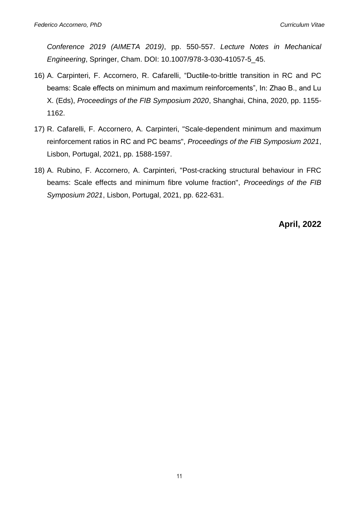*Conference 2019 (AIMETA 2019)*, pp. 550-557. *Lecture Notes in Mechanical Engineering*, Springer, Cham. DOI: 10.1007/978-3-030-41057-5\_45.

- 16) A. Carpinteri, F. Accornero, R. Cafarelli, "Ductile-to-brittle transition in RC and PC beams: Scale effects on minimum and maximum reinforcements", In: Zhao B., and Lu X. (Eds), *Proceedings of the FIB Symposium 2020*, Shanghai, China, 2020, pp. 1155- 1162.
- 17) R. Cafarelli, F. Accornero, A. Carpinteri, "Scale-dependent minimum and maximum reinforcement ratios in RC and PC beams", *Proceedings of the FIB Symposium 2021*, Lisbon, Portugal, 2021, pp. 1588-1597.
- 18) A. Rubino, F. Accornero, A. Carpinteri, "Post-cracking structural behaviour in FRC beams: Scale effects and minimum fibre volume fraction", *Proceedings of the FIB Symposium 2021*, Lisbon, Portugal, 2021, pp. 622-631.

**April, 2022**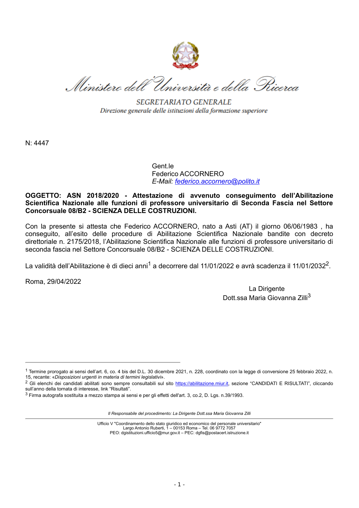

Ministero dell'Università e della Pricerca

SEGRETARIATO GENERALE Direzione generale delle istituzioni della formazione superiore

N: 4447

Gent.le Federico ACCORNERO *E-Mail: [federico.accornero@polito.it](mailto:federico.accornero@polito.it)*

#### **OGGETTO: ASN 2018/2020 - Attestazione di avvenuto conseguimento dell'Abilitazione Scientifica Nazionale alle funzioni di professore universitario di Seconda Fascia nel Settore Concorsuale 08/B2 - SCIENZA DELLE COSTRUZIONI.**

Con la presente si attesta che Federico ACCORNERO, nato a Asti (AT) il giorno 06/06/1983 , ha conseguito, all'esito delle procedure di Abilitazione Scientifica Nazionale bandite con decreto direttoriale n. 2175/2018, l'Abilitazione Scientifica Nazionale alle funzioni di professore universitario di seconda fascia nel Settore Concorsuale 08/B2 - SCIENZA DELLE COSTRUZIONI.

La validità dell'Abilitazione è di dieci anni<sup>1</sup> a decorrere dal 11/01/2022 e avrà scadenza il 11/01/2032<sup>2</sup>.

Roma, 29/04/2022

La Dirigente Dott.ssa Maria Giovanna Zilli<sup>3</sup>

*Il Responsabile del procedimento: La Dirigente Dott.ssa Maria Giovanna Zilli*

Ufficio V "Coordinamento dello stato giuridico ed economico del personale universitario" Largo Antonio Ruberti, 1 – 00153 Roma – Tel. 06 9772 7057 PEO: dgistituzioni.ufficio5@mur.gov.it – PEC: dgfis@postacert.istruzione.it

<sup>1</sup> Termine prorogato ai sensi dell'art. 6, co. 4 bis del D.L. 30 dicembre 2021, n. 228, coordinato con la legge di conversione 25 febbraio 2022, n. 15, recante: «*Disposizioni urgenti in materia di termini legislativi*».

<sup>&</sup>lt;sup>2</sup> Gli elenchi dei candidati abilitati sono sempre consultabili sul sito [https://abilitazione.miur.it,](https://abilitazione.miur.it/) sezione "CANDIDATI E RISULTATI", cliccando sull'anno della tornata di interesse, link "Risultati".

<sup>3</sup> Firma autografa sostituita a mezzo stampa ai sensi e per gli effetti dell'art. 3, co.2, D. Lgs. n.39/1993.